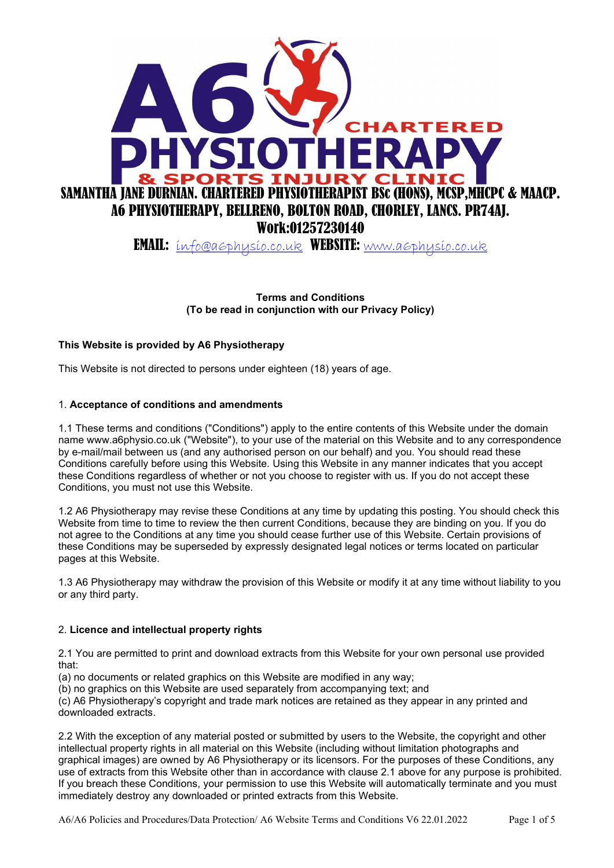

EMAIL: info@a6physio.co.uk WEBSITE: www.a6physio.co.uk

Terms and Conditions (To be read in conjunction with our Privacy Policy)

# This Website is provided by A6 Physiotherapy

This Website is not directed to persons under eighteen (18) years of age.

#### 1. Acceptance of conditions and amendments

1.1 These terms and conditions ("Conditions") apply to the entire contents of this Website under the domain name www.a6physio.co.uk ("Website"), to your use of the material on this Website and to any correspondence by e-mail/mail between us (and any authorised person on our behalf) and you. You should read these Conditions carefully before using this Website. Using this Website in any manner indicates that you accept these Conditions regardless of whether or not you choose to register with us. If you do not accept these Conditions, you must not use this Website.

1.2 A6 Physiotherapy may revise these Conditions at any time by updating this posting. You should check this Website from time to time to review the then current Conditions, because they are binding on you. If you do not agree to the Conditions at any time you should cease further use of this Website. Certain provisions of these Conditions may be superseded by expressly designated legal notices or terms located on particular pages at this Website.

1.3 A6 Physiotherapy may withdraw the provision of this Website or modify it at any time without liability to you or any third party.

## 2. Licence and intellectual property rights

2.1 You are permitted to print and download extracts from this Website for your own personal use provided that:

(a) no documents or related graphics on this Website are modified in any way;

(b) no graphics on this Website are used separately from accompanying text; and

(c) A6 Physiotherapy's copyright and trade mark notices are retained as they appear in any printed and downloaded extracts.

2.2 With the exception of any material posted or submitted by users to the Website, the copyright and other intellectual property rights in all material on this Website (including without limitation photographs and graphical images) are owned by A6 Physiotherapy or its licensors. For the purposes of these Conditions, any use of extracts from this Website other than in accordance with clause 2.1 above for any purpose is prohibited. If you breach these Conditions, your permission to use this Website will automatically terminate and you must immediately destroy any downloaded or printed extracts from this Website.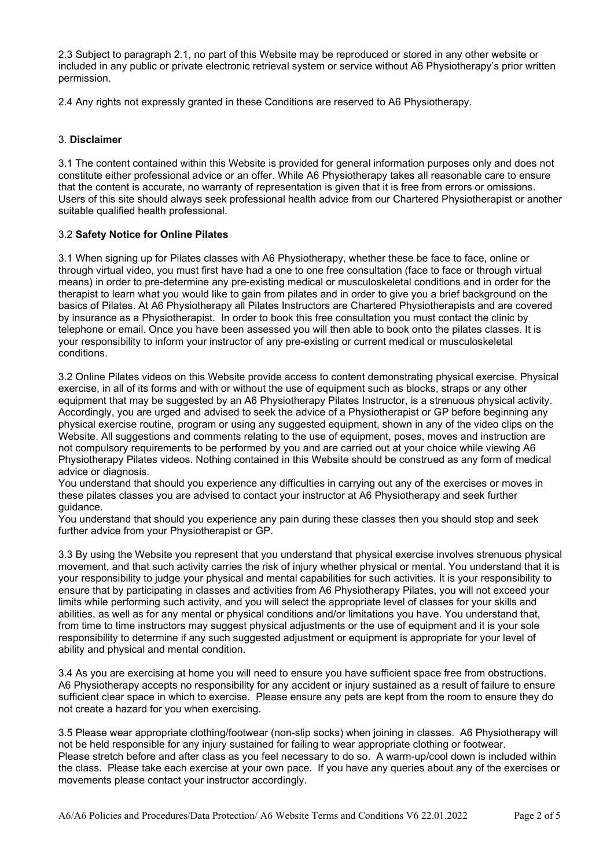2.3 Subject to paragraph 2.1, no part of this Website may be reproduced or stored in any other website or included in any public or private electronic retrieval system or service without A6 Physiotherapy's prior written permission.

2.4 Any rights not expressly granted in these Conditions are reserved to A6 Physiotherapy.

# 3. Disclaimer

3.1 The content contained within this Website is provided for general information purposes only and does not constitute either professional advice or an offer. While A6 Physiotherapy takes all reasonable care to ensure that the content is accurate, no warranty of representation is given that it is free from errors or omissions. Users of this site should always seek professional health advice from our Chartered Physiotherapist or another suitable qualified health professional.

# 3.2 Safety Notice for Online Pilates

3.1 When signing up for Pilates classes with A6 Physiotherapy, whether these be face to face, online or through virtual video, you must first have had a one to one free consultation (face to face or through virtual means) in order to pre-determine any pre-existing medical or musculoskeletal conditions and in order for the therapist to learn what you would like to gain from pilates and in order to give you a brief background on the basics of Pilates. At A6 Physiotherapy all Pilates Instructors are Chartered Physiotherapists and are covered by insurance as a Physiotherapist. In order to book this free consultation you must contact the clinic by telephone or email. Once you have been assessed you will then able to book onto the pilates classes. It is your responsibility to inform your instructor of any pre-existing or current medical or musculoskeletal conditions.

3.2 Online Pilates videos on this Website provide access to content demonstrating physical exercise. Physical exercise, in all of its forms and with or without the use of equipment such as blocks, straps or any other equipment that may be suggested by an A6 Physiotherapy Pilates Instructor, is a strenuous physical activity. Accordingly, you are urged and advised to seek the advice of a Physiotherapist or GP before beginning any physical exercise routine, program or using any suggested equipment, shown in any of the video clips on the Website. All suggestions and comments relating to the use of equipment, poses, moves and instruction are not compulsory requirements to be performed by you and are carried out at your choice while viewing A6 Physiotherapy Pilates videos. Nothing contained in this Website should be construed as any form of medical advice or diagnosis.

You understand that should you experience any difficulties in carrying out any of the exercises or moves in these pilates classes you are advised to contact your instructor at A6 Physiotherapy and seek further guidance.

You understand that should you experience any pain during these classes then you should stop and seek further advice from your Physiotherapist or GP.

3.3 By using the Website you represent that you understand that physical exercise involves strenuous physical movement, and that such activity carries the risk of injury whether physical or mental. You understand that it is your responsibility to judge your physical and mental capabilities for such activities. It is your responsibility to ensure that by participating in classes and activities from A6 Physiotherapy Pilates, you will not exceed your limits while performing such activity, and you will select the appropriate level of classes for your skills and abilities, as well as for any mental or physical conditions and/or limitations you have. You understand that, from time to time instructors may suggest physical adjustments or the use of equipment and it is your sole responsibility to determine if any such suggested adjustment or equipment is appropriate for your level of ability and physical and mental condition.

3.4 As you are exercising at home you will need to ensure you have sufficient space free from obstructions. A6 Physiotherapy accepts no responsibility for any accident or injury sustained as a result of failure to ensure sufficient clear space in which to exercise. Please ensure any pets are kept from the room to ensure they do not create a hazard for you when exercising.

3.5 Please wear appropriate clothing/footwear (non-slip socks) when joining in classes. A6 Physiotherapy will not be held responsible for any injury sustained for failing to wear appropriate clothing or footwear. Please stretch before and after class as you feel necessary to do so. A warm-up/cool down is included within the class. Please take each exercise at your own pace. If you have any queries about any of the exercises or movements please contact your instructor accordingly.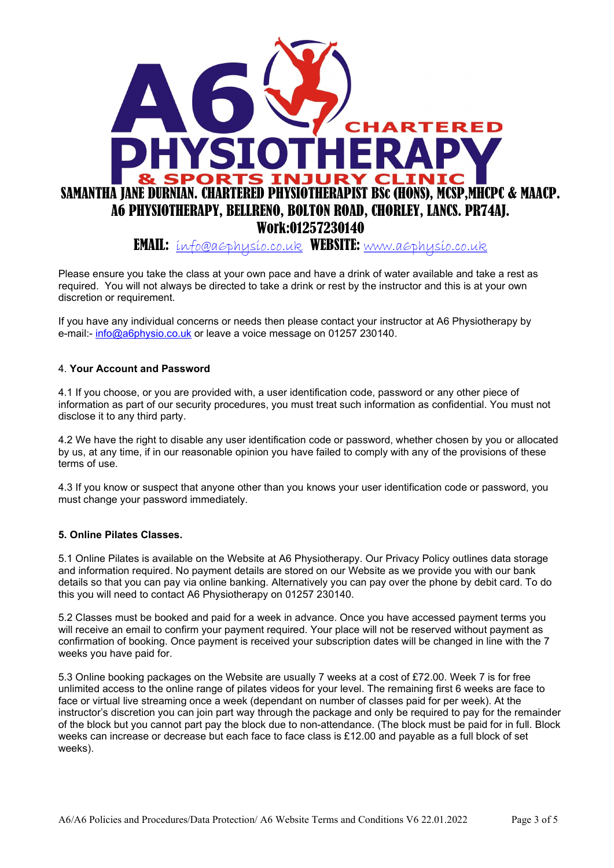

Please ensure you take the class at your own pace and have a drink of water available and take a rest as required. You will not always be directed to take a drink or rest by the instructor and this is at your own discretion or requirement.

If you have any individual concerns or needs then please contact your instructor at A6 Physiotherapy by e-mail:- info@a6physio.co.uk or leave a voice message on 01257 230140.

#### 4. Your Account and Password

4.1 If you choose, or you are provided with, a user identification code, password or any other piece of information as part of our security procedures, you must treat such information as confidential. You must not disclose it to any third party.

4.2 We have the right to disable any user identification code or password, whether chosen by you or allocated by us, at any time, if in our reasonable opinion you have failed to comply with any of the provisions of these terms of use.

4.3 If you know or suspect that anyone other than you knows your user identification code or password, you must change your password immediately.

## 5. Online Pilates Classes.

5.1 Online Pilates is available on the Website at A6 Physiotherapy. Our Privacy Policy outlines data storage and information required. No payment details are stored on our Website as we provide you with our bank details so that you can pay via online banking. Alternatively you can pay over the phone by debit card. To do this you will need to contact A6 Physiotherapy on 01257 230140.

5.2 Classes must be booked and paid for a week in advance. Once you have accessed payment terms you will receive an email to confirm your payment required. Your place will not be reserved without payment as confirmation of booking. Once payment is received your subscription dates will be changed in line with the 7 weeks you have paid for.

5.3 Online booking packages on the Website are usually 7 weeks at a cost of £72.00. Week 7 is for free unlimited access to the online range of pilates videos for your level. The remaining first 6 weeks are face to face or virtual live streaming once a week (dependant on number of classes paid for per week). At the instructor's discretion you can join part way through the package and only be required to pay for the remainder of the block but you cannot part pay the block due to non-attendance. (The block must be paid for in full. Block weeks can increase or decrease but each face to face class is £12.00 and payable as a full block of set weeks).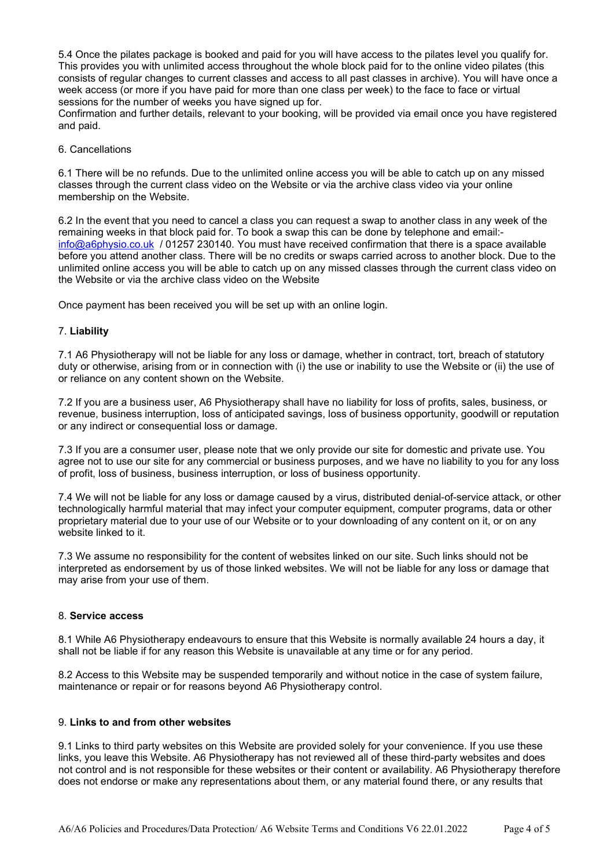5.4 Once the pilates package is booked and paid for you will have access to the pilates level you qualify for. This provides you with unlimited access throughout the whole block paid for to the online video pilates (this consists of regular changes to current classes and access to all past classes in archive). You will have once a week access (or more if you have paid for more than one class per week) to the face to face or virtual sessions for the number of weeks you have signed up for.

Confirmation and further details, relevant to your booking, will be provided via email once you have registered and paid.

6. Cancellations

6.1 There will be no refunds. Due to the unlimited online access you will be able to catch up on any missed classes through the current class video on the Website or via the archive class video via your online membership on the Website.

6.2 In the event that you need to cancel a class you can request a swap to another class in any week of the remaining weeks in that block paid for. To book a swap this can be done by telephone and email: info@a6physio.co.uk / 01257 230140. You must have received confirmation that there is a space available before you attend another class. There will be no credits or swaps carried across to another block. Due to the unlimited online access you will be able to catch up on any missed classes through the current class video on the Website or via the archive class video on the Website

Once payment has been received you will be set up with an online login.

#### 7. Liability

7.1 A6 Physiotherapy will not be liable for any loss or damage, whether in contract, tort, breach of statutory duty or otherwise, arising from or in connection with (i) the use or inability to use the Website or (ii) the use of or reliance on any content shown on the Website.

7.2 If you are a business user, A6 Physiotherapy shall have no liability for loss of profits, sales, business, or revenue, business interruption, loss of anticipated savings, loss of business opportunity, goodwill or reputation or any indirect or consequential loss or damage.

7.3 If you are a consumer user, please note that we only provide our site for domestic and private use. You agree not to use our site for any commercial or business purposes, and we have no liability to you for any loss of profit, loss of business, business interruption, or loss of business opportunity.

7.4 We will not be liable for any loss or damage caused by a virus, distributed denial-of-service attack, or other technologically harmful material that may infect your computer equipment, computer programs, data or other proprietary material due to your use of our Website or to your downloading of any content on it, or on any website linked to it.

7.3 We assume no responsibility for the content of websites linked on our site. Such links should not be interpreted as endorsement by us of those linked websites. We will not be liable for any loss or damage that may arise from your use of them.

#### 8. Service access

8.1 While A6 Physiotherapy endeavours to ensure that this Website is normally available 24 hours a day, it shall not be liable if for any reason this Website is unavailable at any time or for any period.

8.2 Access to this Website may be suspended temporarily and without notice in the case of system failure, maintenance or repair or for reasons beyond A6 Physiotherapy control.

#### 9. Links to and from other websites

9.1 Links to third party websites on this Website are provided solely for your convenience. If you use these links, you leave this Website. A6 Physiotherapy has not reviewed all of these third-party websites and does not control and is not responsible for these websites or their content or availability. A6 Physiotherapy therefore does not endorse or make any representations about them, or any material found there, or any results that